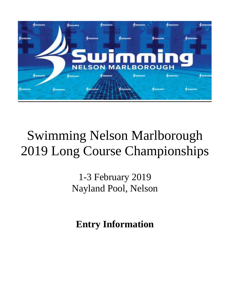

# Swimming Nelson Marlborough 2019 Long Course Championships

1-3 February 2019 Nayland Pool, Nelson

**Entry Information**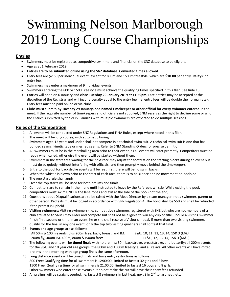# Swimming Nelson Marlborough 2019 Long Course Championships

### **Entries**

- Swimmers must be registered as competitive swimmers and financial on the SNZ database to be eligible.
- Age as at 1 February 2019
- **Entries are to be submitted online using the SNZ database. Converted times allowed.**
- Entry fees are **\$7.50** per individual event, except for 800m and 1500m freestyle, which are **\$10.00** per entry. **Relays**: no entry fee.
- Swimmers may enter a maximum of 9 individual events.
- Swimmers entering the 800 or 1500 Freestyle must achieve the qualifying times specified in this flier. See Rule 15.
- **Entries** will open on 6 January and **close Tuesday 29 January 2019 at 11:59pm.** Late entries may be accepted at the discretion of the Registrar and will incur a penalty equal to the entry fee (i.e. entry fees will be double the normal rate). Entry fees must be paid online or via clubs.
- **Clubs must submit, by Tuesday 29 January, one named timekeeper or other official for every swimmer entered** in the meet. If the requisite number of timekeepers and officials is not supplied, SNM reserves the right to decline some or all of the entries submitted by the club. Families with multiple swimmers are expected to do multiple sessions.

## **Rules of the Competition**

- 1. All events will be conducted under SNZ Regulations and FINA Rules, except where noted in this flier.
- 2. The meet will be long course, with automatic timing.
- 3. Swimmers aged 12 years and under shall not compete in a technical swim suit. A technical swim suit is one that has bonded seams, kinetic tape or meshed seams. Refer to SNM Standing Orders for precise definition.
- 4. All swimmers must be in the marshalling area prior to their event, as all events will start promptly. Competitors must be ready when called, otherwise the event will be started without them.
- 5. Swimmers in the start area waiting for the next race may adjust the footrest on the starting blocks during an event but must do so quietly, without interfering with officials, and then promptly move behind the timekeepers.
- 6. Entry to the pool for backstroke events will be feet first; there will be no swim backs.
- 7. When the whistle is blown prior to the start of each race, there is to be silence and no movement on poolside.
- 8. The one start rule shall apply.
- 9. Over the top starts will be used for both prelims and finals.
- 10. Competitors are to remain in their lane until instructed to leave by the Referee's whistle. While exiting the pool, competitors must swim UNDER the lane ropes and exit at the side of the pool (not the end).
- 11. Questions about Disqualifications are to be raised with the Meet Director by a team manager, not a swimmer, parent or other person. Protests must be lodged in accordance with SNZ Regulation 4. The bond shall be \$50 and shall be refunded if the protest is upheld.
- 12. **Visiting swimmers**: Visiting swimmers (i.e. competitive swimmers registered with SNZ but who are not members of a club affiliated to SNM) may enter and compete but shall not be eligible to win any cup or title. Should a visiting swimmer finish first, second or third in an event, he or she shall receive a Visitor's medal. If more than two visiting swimmers qualify for the final in any one event, only the top two visiting qualifiers shall contest that final.
- 13. **Events and age groups** are as follows: All 50m & 100m events, plus 200m free, back, breast, and IM: 9&U, 10, 11, 12, 13, 14, 15&O (M&F) 200m fly, 400m IM, 400m, 800m &1500m free: 11&U, 12, 13, 14, 15&O (M&F)
- 14. The following events will be **timed finals** with no prelims: 50m backstroke, breaststroke, and butterfly; all 200m events for the 9&U and 10 year old age groups; the 800m and 1500m freestyle; and all relays. All other events will have mixed prelims in the morning with age group finals the same afternoon.
- 15. **Long distance events** will be timed finals and have entry restrictions as follows: 800 Free: Qualifying time for all swimmers is 12:00:00, limited to fastest 32 girls and 8 boys. 1500 Free: Qualifying time for all swimmers is 21:00:00, limited to fastest 16 boys and 8 girls. Other swimmers who enter these events but do not make the cut will have their entry fees refunded.
- 16. All prelims will be straight seeded, i.e. fastest 8 swimmers in last heat, next 8 in 2<sup>nd</sup> to last heat, etc.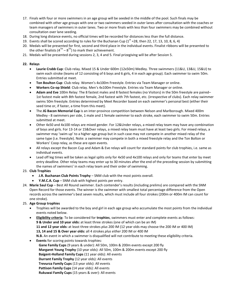- 17. Finals with four or more swimmers in an age group will be seeded in the middle of the pool. Such finals may be combined with other age groups with one or two swimmers seeded in outer lanes after consultation with the coaches or team managers of swimmers in outer lanes. Two or more finals with less than four swimmers may be combined without consultation over lane seeding.
- 18. During long distance events, no official times will be recorded for distances less than the full distance.
- 19. Events shall be scored according to rules for the Buchanan Cup  $(1^{st} = 28,$  then 22, 17, 13, 10, 8, 6, 4)
- 20. Medals will be presented for first, second and third place in the individual events. Finalist ribbons will be presented to the other finalists (4<sup>TH</sup> – 8<sup>TH</sup>) to mark their achievement.
- 21. Medals will be presented during sessions 2, 3, 4 and 5. Final prizegiving will be after Session 5.

#### **22. Relays**

- **Laurie Crabb Cup**: Club relay. Mixed 15 & Under 600m (12x50m) Medley. Three swimmers (11&U, 13&U, 15&U) to swim each stroke (teams of 12 consisting of 6 boys and 6 girls, 4 in each age group). Each swimmer to swim 50m. Entries submitted at meet.
- **Ton Boulton Cup**: Club relay. Women's 4x100m Freestyle. Entries via Team Manager or online.
- **Workers Co-op Shield**: Club relay. Men's 4x100m Freestyle. Entries via Team Manager or online.
- **Adam and Eve** 100m Relay: The 8 fastest males and 8 fastest females (no Visitors) in the 50m freestyle are paired– 1st fastest male with 8th fastest female, 2nd fastest with 7th fastest, etc. (irrespective of clubs). Each relay swimmer swims 50m freestyle. Entries determined by Meet Recorder based on each swimmer's personal best (either their seed time or, if faster, a time from this meet).
- The **JG Bacon Memorial Cup** is an inter-province competition between Nelson and Marlborough. Mixed 400m Medley **-** 8 swimmers per side, 1 male and 1 female swimmer to each stroke, each swimmer to swim 50m. Entries submitted at meet.
- Other 4x50 and 4x100 relays are mixed gender. For 12&Under relays, a mixed relay team may have any combination of boys and girls. For 13-14 or 15&Over relays, a mixed relay team must have at least two girls. For mixed relays, a swimmer may 'swim up' to a higher age group but in such case may not compete in another mixed relay of the same type (i.e. freestyle). Note: a swimmer may compete in both a mixed freestyle relay and the Ton Bolton or Workers' Coop relay, as these are open events.
- All relays except the Bacon Cup and Adam & Eve relays will count for standard points for club trophies, i.e. same as individual events.
- Lead off leg times will be taken as legal splits only for 4x50 and 4x100 relays and only for teams that enter by meet entry deadline. Other relay teams may enter up to 30 minutes after the end of the preceding session by submitting the names of swimmers' in each relay team and their order of swimming.

#### 23. **Club Trophies**

- **J.R. Buchanan Club Points Trophy** SNM club with the most points overall.
- **Y.M.C.A. Cup** SNM club with highest points per entry.
- 24. **Marie Saul Cup** Best All Round swimmer. Each contender's results (including prelims) are compared with the SNM Open Record for those events. The winner is the swimmer with smallest total percentage difference from the Open records across the swimmer's best seven results, which must include all four strokes (200m or 400m IM can count for one stroke).

#### 25. **Age Group trophies**

 Trophies will be awarded to the boy and girl in each age group who accumulate the most points from the individual events noted below.

 **Eligibility criteria**: To be considered for **trophies**, swimmers must enter and complete events as follows: **9 & Under and 10 year olds:** at least three strokes (one of which can be an IM) **11 and 12 year olds:** at least three strokes *plus* 200 IM (12 year olds may choose the 200 IM or 400 IM) **13, 14 and 15 & Over year olds:** all 4 strokes *plus either* 200 IM or 400 IM **N.B.** An event in which a swimmer is disqualified will not contribute to meeting these eligibility criteria.

 **Events** for scoring points towards trophies:  **Gane Family Cups** (9 years & under): All 50m, 100m & 200m events except 200 fly **Margaret Young Trophy** (10 year olds): All 50m, 100m & 200m events except 200 fly **Baigent-Holland Family Cups** (11 year olds): All events **Durrant Family Trophy** (12 year olds): All events **Trevurza Family Cups** (13 year olds): All events **Pattison Family Cups** (14 year olds): All events **Rukuwai Family Cups** (15 years & over): All events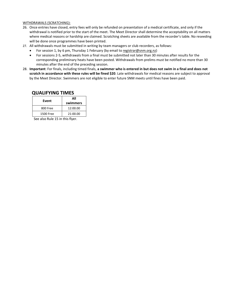#### WITHDRAWALS (SCRATCHING):

- 26. Once entries have closed, entry fees will only be refunded on presentation of a medical certificate, and only if the withdrawal is notified prior to the start of the meet. The Meet Director shall determine the acceptability on all matters where medical reasons or hardship are claimed. Scratching sheets are available from the recorder's table. No reseeding will be done once programmes have been printed.
- 27. All withdrawals must be submitted in writing by team managers or club recorders, as follows:
	- For session 1, by 6 pm, Thursday 1 February (by email to registrar@snm.org.nz)
	- For sessions 2-5, withdrawals from a final must be submitted not later than 30 minutes after results for the corresponding preliminary heats have been posted. Withdrawals from prelims must be notified no more than 30 minutes after the end of the preceding session.
- 28. **Important**: For finals, including timed finals, **a swimmer who is entered in but does not swim in a final and does not scratch in accordance with these rules will be fined \$20**. Late withdrawals for medical reasons are subject to approval by the Meet Director. Swimmers are not eligible to enter future SNM meets until fines have been paid.

### **QUALIFYING TIMES**

| Event     | ΔIΙ<br>swimmers |  |  |  |
|-----------|-----------------|--|--|--|
| 800 Free  | 12:00.00        |  |  |  |
| 1500 Free | 21:00.00        |  |  |  |

See also Rule 15 in this flyer.